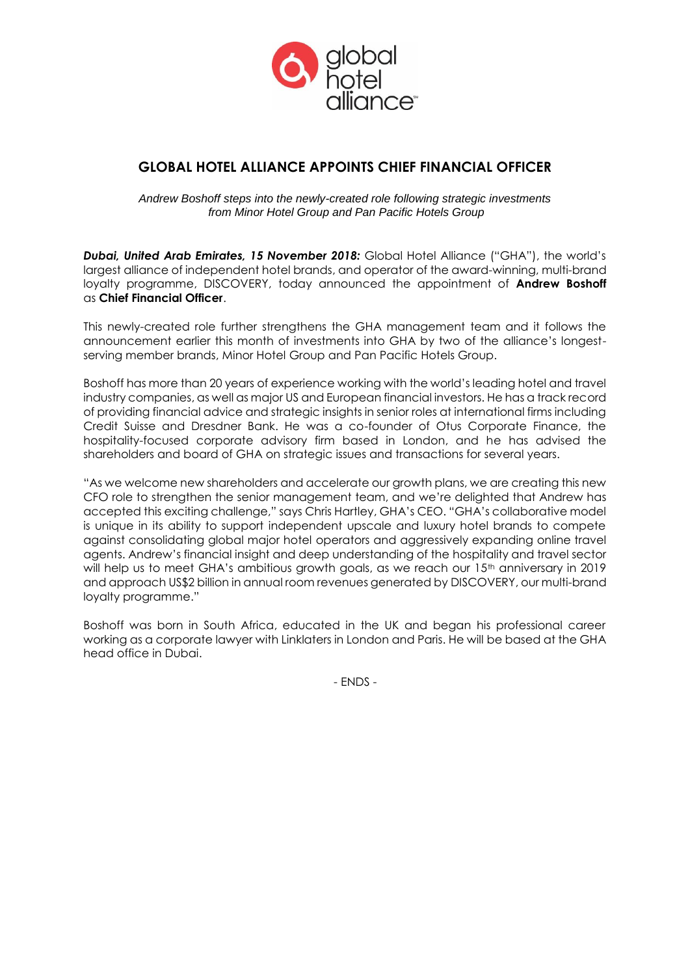

# **GLOBAL HOTEL ALLIANCE APPOINTS CHIEF FINANCIAL OFFICER**

*Andrew Boshoff steps into the newly-created role following strategic investments from Minor Hotel Group and Pan Pacific Hotels Group*

*Dubai, United Arab Emirates, 15 November 2018:* Global Hotel Alliance ("GHA"), the world's largest alliance of independent hotel brands, and operator of the award-winning, multi-brand loyalty programme, DISCOVERY, today announced the appointment of **Andrew Boshoff**  as **Chief Financial Officer**.

This newly-created role further strengthens the GHA management team and it follows the announcement earlier this month of investments into GHA by two of the alliance's longestserving member brands, Minor Hotel Group and Pan Pacific Hotels Group.

Boshoff has more than 20 years of experience working with the world's leading hotel and travel industry companies, as well as major US and European financial investors. He has a track record of providing financial advice and strategic insights in senior roles at international firms including Credit Suisse and Dresdner Bank. He was a co-founder of Otus Corporate Finance, the hospitality-focused corporate advisory firm based in London, and he has advised the shareholders and board of GHA on strategic issues and transactions for several years.

"As we welcome new shareholders and accelerate our growth plans, we are creating this new CFO role to strengthen the senior management team, and we're delighted that Andrew has accepted this exciting challenge," says Chris Hartley, GHA's CEO. "GHA's collaborative model is unique in its ability to support independent upscale and luxury hotel brands to compete against consolidating global major hotel operators and aggressively expanding online travel agents. Andrew's financial insight and deep understanding of the hospitality and travel sector will help us to meet GHA's ambitious growth goals, as we reach our 15<sup>th</sup> anniversary in 2019 and approach US\$2 billion in annual room revenues generated by DISCOVERY, our multi-brand loyalty programme."

Boshoff was born in South Africa, educated in the UK and began his professional career working as a corporate lawyer with Linklaters in London and Paris. He will be based at the GHA head office in Dubai.

- ENDS -